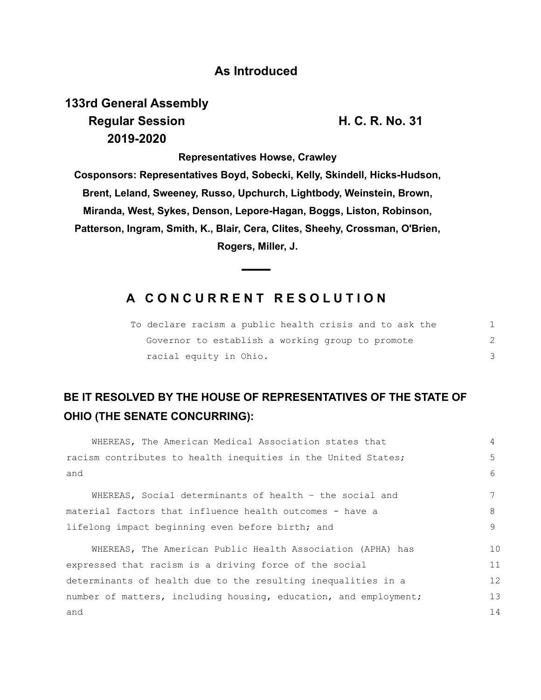#### **As Introduced**

# **133rd General Assembly Regular Session H. C. R. No. 31 2019-2020**

**Representatives Howse, Crawley Cosponsors: Representatives Boyd, Sobecki, Kelly, Skindell, Hicks-Hudson, Brent, Leland, Sweeney, Russo, Upchurch, Lightbody, Weinstein, Brown, Miranda, West, Sykes, Denson, Lepore-Hagan, Boggs, Liston, Robinson, Patterson, Ingram, Smith, K., Blair, Cera, Clites, Sheehy, Crossman, O'Brien, Rogers, Miller, J.**

### **A C O N C U R R E N T R E S O L U T I O N**

|                        | To declare racism a public health crisis and to ask the |  |
|------------------------|---------------------------------------------------------|--|
|                        | Governor to establish a working group to promote        |  |
| racial equity in Ohio. |                                                         |  |

## **BE IT RESOLVED BY THE HOUSE OF REPRESENTATIVES OF THE STATE OF OHIO (THE SENATE CONCURRING):**

| WHEREAS, The American Medical Association states that            | 4  |
|------------------------------------------------------------------|----|
| racism contributes to health inequities in the United States;    |    |
| and                                                              | 6  |
| WHEREAS, Social determinants of health - the social and          |    |
| material factors that influence health outcomes - have a         |    |
| lifelong impact beginning even before birth; and                 |    |
| WHEREAS, The American Public Health Association (APHA) has       | 10 |
| expressed that racism is a driving force of the social           | 11 |
| determinants of health due to the resulting inequalities in a    |    |
| number of matters, including housing, education, and employment; | 13 |
| and                                                              | 14 |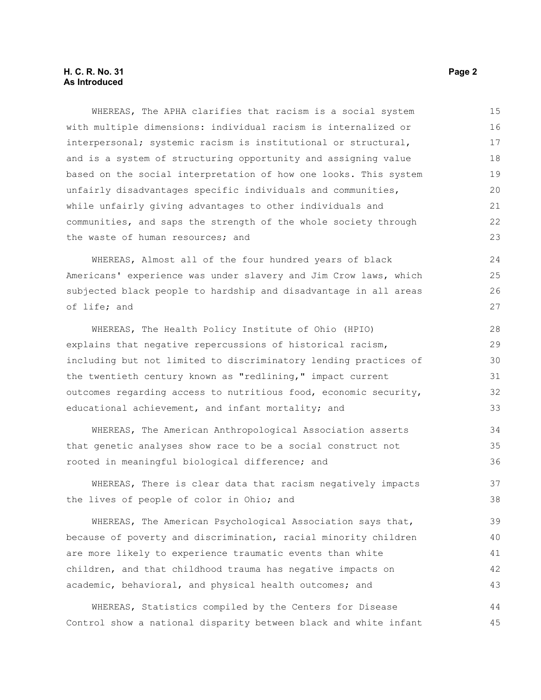WHEREAS, The APHA clarifies that racism is a social system with multiple dimensions: individual racism is internalized or interpersonal; systemic racism is institutional or structural, and is a system of structuring opportunity and assigning value based on the social interpretation of how one looks. This system unfairly disadvantages specific individuals and communities, while unfairly giving advantages to other individuals and communities, and saps the strength of the whole society through the waste of human resources; and

WHEREAS, Almost all of the four hundred years of black Americans' experience was under slavery and Jim Crow laws, which subjected black people to hardship and disadvantage in all areas of life; and

WHEREAS, The Health Policy Institute of Ohio (HPIO) explains that negative repercussions of historical racism, including but not limited to discriminatory lending practices of the twentieth century known as "redlining," impact current outcomes regarding access to nutritious food, economic security, educational achievement, and infant mortality; and 28 29 30 31 32 33

WHEREAS, The American Anthropological Association asserts that genetic analyses show race to be a social construct not rooted in meaningful biological difference; and 34 35 36

WHEREAS, There is clear data that racism negatively impacts the lives of people of color in Ohio; and

WHEREAS, The American Psychological Association says that, because of poverty and discrimination, racial minority children are more likely to experience traumatic events than white children, and that childhood trauma has negative impacts on academic, behavioral, and physical health outcomes; and 39 40 41 42 43

WHEREAS, Statistics compiled by the Centers for Disease Control show a national disparity between black and white infant 44 45

37 38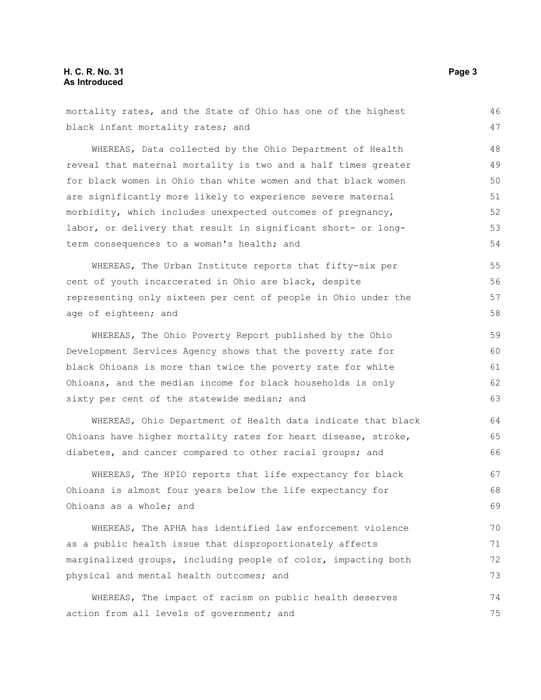| black infant mortality rates; and                              | 47 |
|----------------------------------------------------------------|----|
| WHEREAS, Data collected by the Ohio Department of Health       | 48 |
| reveal that maternal mortality is two and a half times greater | 49 |
| for black women in Ohio than white women and that black women  | 50 |
| are significantly more likely to experience severe maternal    | 51 |
| morbidity, which includes unexpected outcomes of pregnancy,    | 52 |
| labor, or delivery that result in significant short- or long-  | 53 |
| term consequences to a woman's health; and                     | 54 |
| WHEREAS, The Urban Institute reports that fifty-six per        | 55 |
| cent of youth incarcerated in Ohio are black, despite          | 56 |
| representing only sixteen per cent of people in Ohio under the | 57 |
| age of eighteen; and                                           | 58 |
| WHEREAS, The Ohio Poverty Report published by the Ohio         | 59 |
| Development Services Agency shows that the poverty rate for    | 60 |
| black Ohioans is more than twice the poverty rate for white    | 61 |
| Ohioans, and the median income for black households is only    | 62 |
| sixty per cent of the statewide median; and                    | 63 |
| WHEREAS, Ohio Department of Health data indicate that black    | 64 |
| Ohioans have higher mortality rates for heart disease, stroke, | 65 |
| diabetes, and cancer compared to other racial groups; and      | 66 |
| WHEREAS, The HPIO reports that life expectancy for black       | 67 |
| Ohioans is almost four years below the life expectancy for     | 68 |
| Ohioans as a whole; and                                        | 69 |
| WHEREAS, The APHA has identified law enforcement violence      | 70 |
| as a public health issue that disproportionately affects       | 71 |
| marginalized groups, including people of color, impacting both | 72 |
| physical and mental health outcomes; and                       | 73 |
| WHEREAS, The impact of racism on public health deserves        | 74 |

action from all levels of government; and

mortality rates, and the State of Ohio has one of the highest

46

75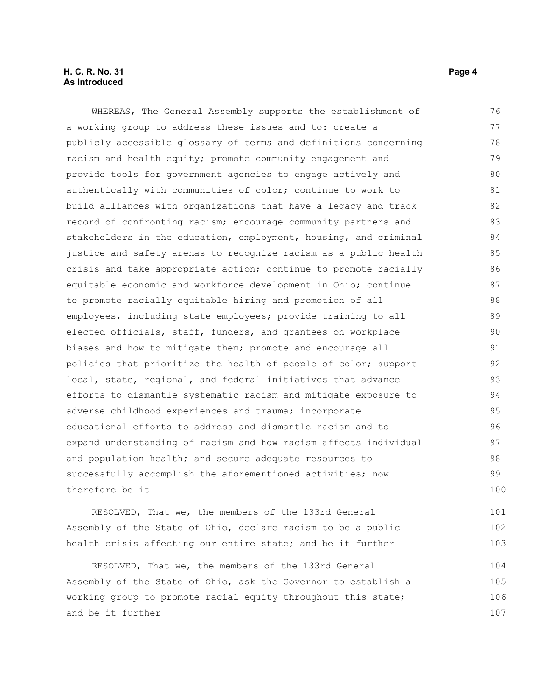#### **H. C. R. No. 31 Page 4 As Introduced**

WHEREAS, The General Assembly supports the establishment of a working group to address these issues and to: create a publicly accessible glossary of terms and definitions concerning racism and health equity; promote community engagement and provide tools for government agencies to engage actively and authentically with communities of color; continue to work to build alliances with organizations that have a legacy and track record of confronting racism; encourage community partners and stakeholders in the education, employment, housing, and criminal justice and safety arenas to recognize racism as a public health crisis and take appropriate action; continue to promote racially equitable economic and workforce development in Ohio; continue to promote racially equitable hiring and promotion of all employees, including state employees; provide training to all elected officials, staff, funders, and grantees on workplace biases and how to mitigate them; promote and encourage all policies that prioritize the health of people of color; support local, state, regional, and federal initiatives that advance efforts to dismantle systematic racism and mitigate exposure to adverse childhood experiences and trauma; incorporate educational efforts to address and dismantle racism and to expand understanding of racism and how racism affects individual and population health; and secure adequate resources to successfully accomplish the aforementioned activities; now therefore be it 76 77 78 79 80 81 82 83 84 85 86 87 88 89 90 91 92 93 94 95 96 97 98 99 100

RESOLVED, That we, the members of the 133rd General Assembly of the State of Ohio, declare racism to be a public health crisis affecting our entire state; and be it further 101 102 103

RESOLVED, That we, the members of the 133rd General Assembly of the State of Ohio, ask the Governor to establish a working group to promote racial equity throughout this state; and be it further 104 105 106 107